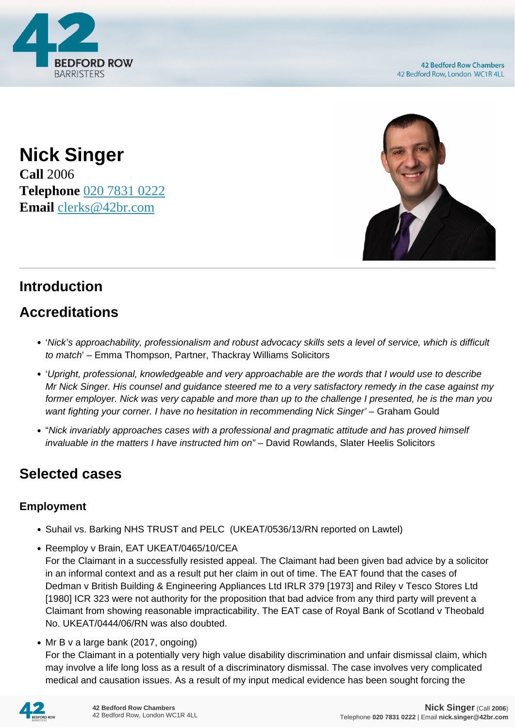

**Nick Singer Call** 2006 **Telephone** [020 7831 0222](https://pdf.codeshore.co/_42br/tel:020 7831 0222) **Email** [clerks@42br.com](mailto:clerks@42br.com)



# **Introduction**

# **Accreditations**

- 'Nick's approachability, professionalism and robust advocacy skills sets a level of service, which is difficult to match' – Emma Thompson, Partner, Thackray Williams Solicitors
- 'Upright, professional, knowledgeable and very approachable are the words that I would use to describe Mr Nick Singer. His counsel and guidance steered me to a very satisfactory remedy in the case against my former employer. Nick was very capable and more than up to the challenge I presented, he is the man you want fighting your corner. I have no hesitation in recommending Nick Singer' – Graham Gould
- "Nick invariably approaches cases with a professional and pragmatic attitude and has proved himself invaluable in the matters I have instructed him on" – David Rowlands, Slater Heelis Solicitors

### **Selected cases**

#### **Employment**

- Suhail vs. Barking NHS TRUST and PELC (UKEAT/0536/13/RN reported on Lawtel)
- Reemploy v Brain, EAT UKEAT/0465/10/CEA

For the Claimant in a successfully resisted appeal. The Claimant had been given bad advice by a solicitor in an informal context and as a result put her claim in out of time. The EAT found that the cases of Dedman v British Building & Engineering Appliances Ltd IRLR 379 [1973] and Riley v Tesco Stores Ltd [1980] ICR 323 were not authority for the proposition that bad advice from any third party will prevent a Claimant from showing reasonable impracticability. The EAT case of Royal Bank of Scotland v Theobald No. UKEAT/0444/06/RN was also doubted.

• Mr B v a large bank (2017, ongoing)

For the Claimant in a potentially very high value disability discrimination and unfair dismissal claim, which may involve a life long loss as a result of a discriminatory dismissal. The case involves very complicated medical and causation issues. As a result of my input medical evidence has been sought forcing the

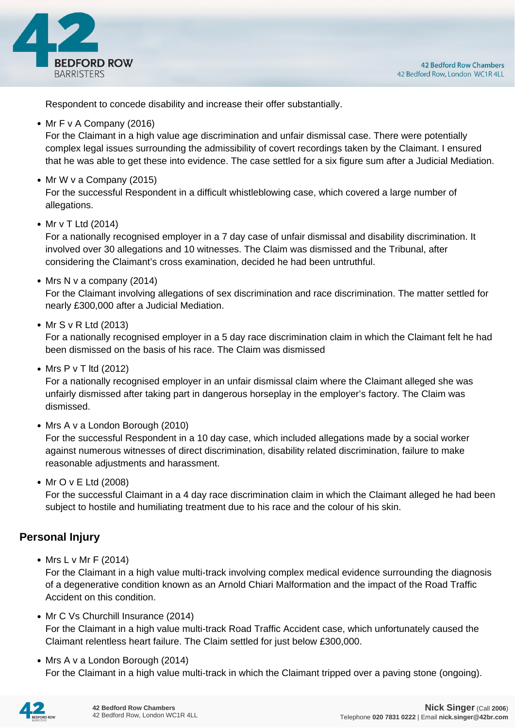

Respondent to concede disability and increase their offer substantially.

• Mr F v A Company (2016)

For the Claimant in a high value age discrimination and unfair dismissal case. There were potentially complex legal issues surrounding the admissibility of covert recordings taken by the Claimant. I ensured that he was able to get these into evidence. The case settled for a six figure sum after a Judicial Mediation.

• Mr W v a Company (2015)

For the successful Respondent in a difficult whistleblowing case, which covered a large number of allegations.

• Mr v T Ltd (2014)

For a nationally recognised employer in a 7 day case of unfair dismissal and disability discrimination. It involved over 30 allegations and 10 witnesses. The Claim was dismissed and the Tribunal, after considering the Claimant's cross examination, decided he had been untruthful.

 $\bullet$  Mrs N v a company (2014)

For the Claimant involving allegations of sex discrimination and race discrimination. The matter settled for nearly £300,000 after a Judicial Mediation.

• Mr S v R Ltd (2013)

For a nationally recognised employer in a 5 day race discrimination claim in which the Claimant felt he had been dismissed on the basis of his race. The Claim was dismissed

 $\bullet$  Mrs P v T ltd (2012)

For a nationally recognised employer in an unfair dismissal claim where the Claimant alleged she was unfairly dismissed after taking part in dangerous horseplay in the employer's factory. The Claim was dismissed.

• Mrs A v a London Borough (2010)

For the successful Respondent in a 10 day case, which included allegations made by a social worker against numerous witnesses of direct discrimination, disability related discrimination, failure to make reasonable adjustments and harassment.

• Mr O v E Ltd (2008)

For the successful Claimant in a 4 day race discrimination claim in which the Claimant alleged he had been subject to hostile and humiliating treatment due to his race and the colour of his skin.

#### **Personal Injury**

• Mrs L v Mr F (2014)

For the Claimant in a high value multi-track involving complex medical evidence surrounding the diagnosis of a degenerative condition known as an Arnold Chiari Malformation and the impact of the Road Traffic Accident on this condition.

- Mr C Vs Churchill Insurance (2014) For the Claimant in a high value multi-track Road Traffic Accident case, which unfortunately caused the Claimant relentless heart failure. The Claim settled for just below £300,000.
- Mrs A v a London Borough (2014) For the Claimant in a high value multi-track in which the Claimant tripped over a paving stone (ongoing).